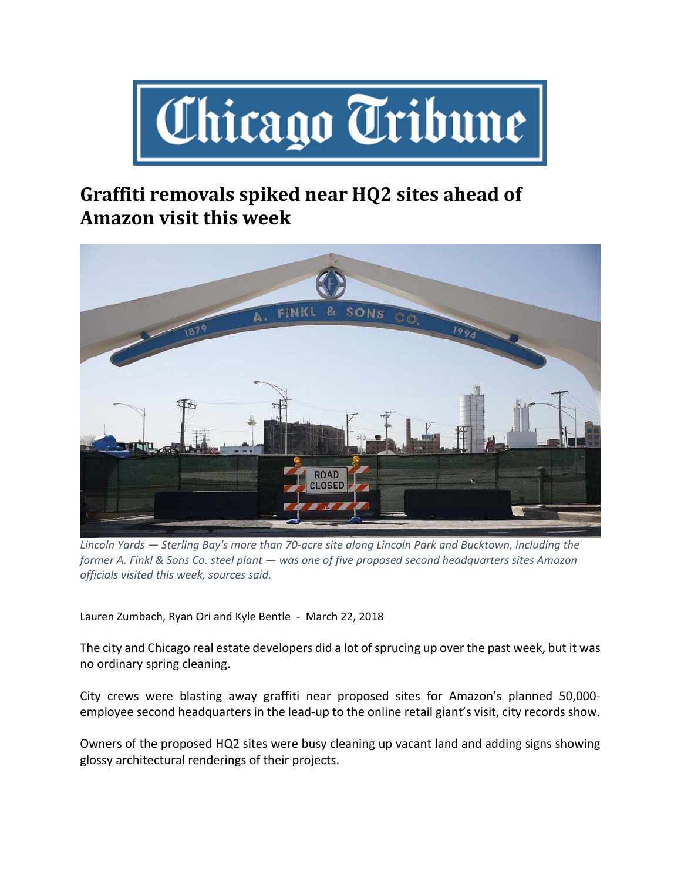

## **Graffiti removals spiked near HQ2 sites ahead of Amazon visit this week**



Lincoln Yards - Sterling Bay's more than 70-acre site along Lincoln Park and Bucktown, including the *former A. Finkl & Sons Co. steel plant — was one of five proposed second headquarters sites Amazon officials visited this week, sources said.*

Lauren Zumbach, Ryan Ori and Kyle Bentle ‐ March 22, 2018

The city and Chicago real estate developers did a lot of sprucing up over the past week, but it was no ordinary spring cleaning.

City crews were blasting away graffiti near proposed sites for Amazon's planned 50,000‐ employee second headquarters in the lead-up to the online retail giant's visit, city records show.

Owners of the proposed HQ2 sites were busy cleaning up vacant land and adding signs showing glossy architectural renderings of their projects.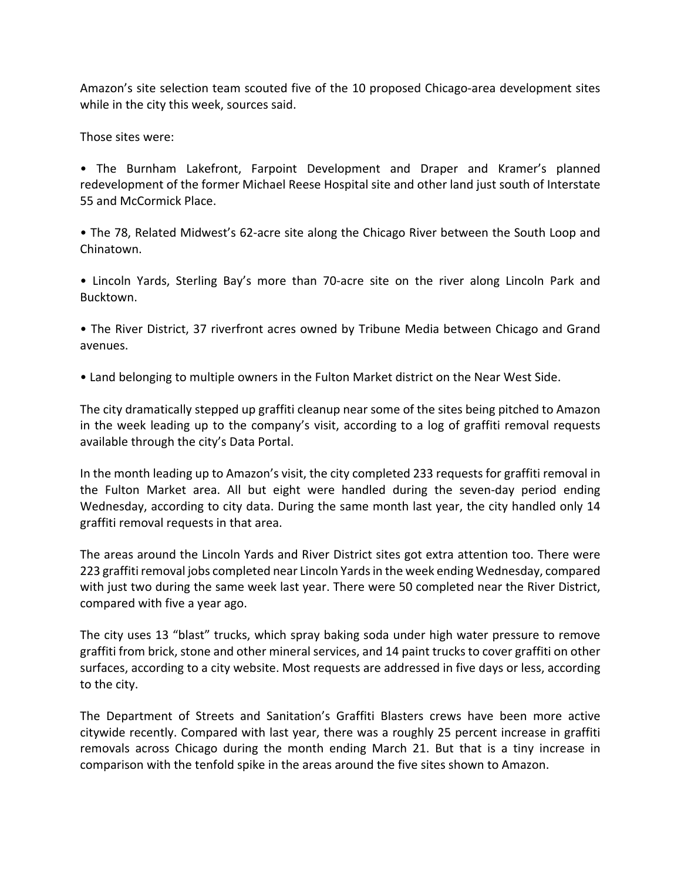Amazon's site selection team scouted five of the 10 proposed Chicago-area development sites while in the city this week, sources said.

Those sites were:

• The Burnham Lakefront, Farpoint Development and Draper and Kramer's planned redevelopment of the former Michael Reese Hospital site and other land just south of Interstate 55 and McCormick Place.

• The 78, Related Midwest's 62-acre site along the Chicago River between the South Loop and Chinatown.

• Lincoln Yards, Sterling Bay's more than 70‐acre site on the river along Lincoln Park and Bucktown.

• The River District, 37 riverfront acres owned by Tribune Media between Chicago and Grand avenues.

• Land belonging to multiple owners in the Fulton Market district on the Near West Side.

The city dramatically stepped up graffiti cleanup near some of the sites being pitched to Amazon in the week leading up to the company's visit, according to a log of graffiti removal requests available through the city's Data Portal.

In the month leading up to Amazon's visit, the city completed 233 requests for graffiti removal in the Fulton Market area. All but eight were handled during the seven‐day period ending Wednesday, according to city data. During the same month last year, the city handled only 14 graffiti removal requests in that area.

The areas around the Lincoln Yards and River District sites got extra attention too. There were 223 graffiti removal jobs completed near Lincoln Yards in the week ending Wednesday, compared with just two during the same week last year. There were 50 completed near the River District, compared with five a year ago.

The city uses 13 "blast" trucks, which spray baking soda under high water pressure to remove graffiti from brick, stone and other mineral services, and 14 paint trucks to cover graffiti on other surfaces, according to a city website. Most requests are addressed in five days or less, according to the city.

The Department of Streets and Sanitation's Graffiti Blasters crews have been more active citywide recently. Compared with last year, there was a roughly 25 percent increase in graffiti removals across Chicago during the month ending March 21. But that is a tiny increase in comparison with the tenfold spike in the areas around the five sites shown to Amazon.